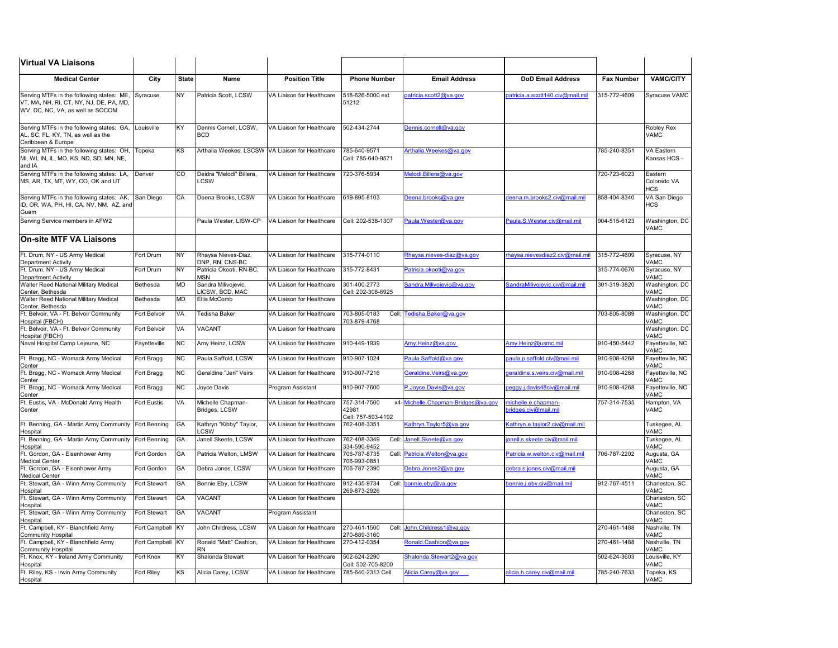| <b>Virtual VA Liaisons</b>                                                                                               |                  |              |                                                  |                           |                                             |                                    |                                             |                   |                                      |
|--------------------------------------------------------------------------------------------------------------------------|------------------|--------------|--------------------------------------------------|---------------------------|---------------------------------------------|------------------------------------|---------------------------------------------|-------------------|--------------------------------------|
| <b>Medical Center</b>                                                                                                    | City             | <b>State</b> | <b>Name</b>                                      | <b>Position Title</b>     | <b>Phone Number</b>                         | <b>Email Address</b>               | <b>DoD Email Address</b>                    | <b>Fax Number</b> | <b>VAMC/CITY</b>                     |
| Serving MTFs in the following states: ME,<br>VT, MA, NH, RI, CT, NY, NJ, DE, PA, MD,<br>WV, DC, NC, VA, as well as SOCOM | Syracuse         | <b>NY</b>    | Patricia Scott, LCSW                             | VA Liaison for Healthcare | 518-626-5000 ext<br>51212                   | patricia.scott2@va.gov             | patricia.a.scott140.civ@mail.mil            | 315-772-4609      | Syracuse VAMC                        |
| Serving MTFs in the following states: GA,<br>AL, SC, FL, KY, TN, as well as the<br>Caribbean & Europe                    | Louisville       | KY           | Dennis Cornell, LCSW,<br><b>BCD</b>              | VA Liaison for Healthcare | 502-434-2744                                | Dennis.cornell@va.gov              |                                             |                   | <b>Robley Rex</b><br><b>VAMC</b>     |
| Serving MTFs in the following states: OH,<br>MI, WI, IN, IL, MO, KS, ND, SD, MN, NE,<br>and IA                           | Topeka           | KS           | Arthalia Weekes, LSCSW VA Liaison for Healthcare |                           | 785-640-9571<br>Cell: 785-640-9571          | Arthalia.Weekes@va.gov             |                                             | 785-240-8351      | <b>VA Eastern</b><br>Kansas HCS -    |
| Serving MTFs in the following states: LA<br>MS, AR, TX, MT, WY, CO, OK and UT                                            | Denver           | <b>CO</b>    | Deidra "Melodi" Billera,<br><b>LCSW</b>          | VA Liaison for Healthcare | 720-376-5934                                | Melodi.Billera@va.gov              |                                             | 720-723-6023      | Eastern<br>Colorado VA<br><b>HCS</b> |
| Serving MTFs in the following states: AK, San Diego<br>ID, OR, WA, PH, HI, CA, NV, NM, AZ, and<br>Guam                   |                  | <b>CA</b>    | Deena Brooks, LCSW                               | VA Liaison for Healthcare | 619-895-8103                                | Deena.brooks@va.gov                | deena.m.brooks2.civ@mail.mi                 | 858-404-8340      | VA San Diego<br><b>HCS</b>           |
| Serving Service members in AFW2                                                                                          |                  |              | Paula Wester, LISW-CP                            | VA Liaison for Healthcare | Cell: 202-538-1307                          | Paula.Wester@va.gov                | Paula.S.Wester.civ@mail.mil                 | 904-515-6123      | Washington, DC<br><b>VAMC</b>        |
| <b>On-site MTF VA Liaisons</b>                                                                                           |                  |              |                                                  |                           |                                             |                                    |                                             |                   |                                      |
| Ft. Drum, NY - US Army Medical<br>Department Activity                                                                    | Fort Drum        | <b>NY</b>    | Rhaysa Nieves-Diaz,<br>DNP, RN, CNS-BC           | VA Liaison for Healthcare | 315-774-0110                                | Rhaysa.nieves-diaz@va.gov          | rhaysa.nievesdiaz2.civ@mail.mil             | 315-772-4609      | Syracuse, NY<br><b>VAMC</b>          |
| Ft. Drum, NY - US Army Medical<br><b>Department Activity</b>                                                             | Fort Drum        | <b>NY</b>    | Patricia Okooti, RN-BC,<br><b>MSN</b>            | VA Liaison for Healthcare | 315-772-8431                                | Patricia.okooti@va.gov             |                                             | 315-774-0670      | Syracuse, NY<br><b>VAMC</b>          |
| <b>Walter Reed National Military Medical</b><br>Center, Bethesda                                                         | Bethesda         | <b>MD</b>    | Sandra Milivojevic,<br>LICSW, BCD, MAC           | VA Liaison for Healthcare | 301-400-2773<br>Cell: 202-308-6925          | Sandra.Milivojevic@va.gov          | SandraMilivojevic.civ@mail.mil              | 301-319-3820      | Washington, DC<br><b>VAMC</b>        |
| <b>Walter Reed National Military Medical</b><br>Center, Bethesda                                                         | Bethesda         | <b>MD</b>    | Ellis McComb                                     | VA Liaison for Healthcare |                                             |                                    |                                             |                   | Washington, DC<br><b>VAMC</b>        |
| Ft. Belvoir, VA - Ft. Belvoir Community<br>Hospital (FBCH)                                                               | Fort Belvoir     | VA           | Tedisha Baker                                    | VA Liaison for Healthcare | 703-805-0183<br>703-879-4768                | Cell: Tedisha.Baker@va.gov         |                                             | 703-805-8089      | Washington, DC<br><b>VAMC</b>        |
| Ft. Belvoir, VA - Ft. Belvoir Community<br>Hospital (FBCH)                                                               | Fort Belvoir     | <b>VA</b>    | <b>VACANT</b>                                    | VA Liaison for Healthcare |                                             |                                    |                                             |                   | Washington, DC<br><b>VAMC</b>        |
| Naval Hospital Camp Lejeune, NC                                                                                          | Fayetteville     | <b>NC</b>    | Amy Heinz, LCSW                                  | VA Liaison for Healthcare | 910-449-1939                                | Amy.Heinz@va.gov                   | Amy.Heinz@usmc.mil                          | 910-450-5442      | Fayetteville, NC<br><b>VAMC</b>      |
| Ft. Bragg, NC - Womack Army Medical<br>Center                                                                            | Fort Bragg       | <b>NC</b>    | Paula Saffold, LCSW                              | VA Liaison for Healthcare | 910-907-1024                                | Paula.Saffold@va.gov               | paula.p.saffold.civ@mail.mil                | 910-908-4268      | Fayetteville, NC<br><b>VAMC</b>      |
| Ft. Bragg, NC - Womack Army Medical<br>Center                                                                            | Fort Bragg       | NC           | Geraldine "Jeri" Veirs                           | VA Liaison for Healthcare | 910-907-7216                                | Geraldine.Veirs@va.gov             | qeraldine.s.veirs.civ@mail.mil              | 910-908-4268      | Fayetteville, NC<br><b>VAMC</b>      |
| Ft. Bragg, NC - Womack Army Medical<br>Center                                                                            | Fort Bragg       | <b>NC</b>    | Joyce Davis                                      | Program Assistant         | 910-907-7600                                | P.Joyce.Davis@va.gov               | peggy.j.davis48civ@mail.mil                 | 910-908-4268      | Fayetteville, NC<br><b>VAMC</b>      |
| Ft. Eustis, VA - McDonald Army Health<br>Center                                                                          | Fort Eustis      | VA           | Michelle Chapman-<br>Bridges, LCSW               | VA Liaison for Healthcare | 757-314-7500<br>42981<br>Cell: 757-593-4192 | x4-Michelle.Chapman-Bridges@va.gov | nichelle.e.chapman-<br>bridges.civ@mail.mil | 757-314-7535      | Hampton, VA<br><b>VAMC</b>           |
| Ft. Benning, GA - Martin Army Community<br>Hospital                                                                      | Fort Benning     | <b>GA</b>    | Kathryn "Kibby" Taylor,<br><b>LCSW</b>           | VA Liaison for Healthcare | 762-408-3351                                | Kathryn.Taylor5@va.gov             | Kathryn.e.taylor2.civ@mail.mil              |                   | Tuskegee, AL<br><b>VAMC</b>          |
| Ft. Benning, GA - Martin Army Community<br>Hospital                                                                      | Fort Benning     | GA           | Janell Skeete, LCSW                              | VA Liaison for Healthcare | 762-408-3349<br>334-590-9452                | Cell: Janell.Skeete@va.gov         | janell.s.skeete.civ@mail.mil                |                   | Tuskegee, AL<br><b>VAMC</b>          |
| Ft. Gordon, GA - Eisenhower Army<br><b>Medical Center</b>                                                                | Fort Gordon      | GA           | Patricia Welton, LMSW                            | VA Liaison for Healthcare | 706-787-8735<br>706-993-0851                | Cell: Patricia.Welton@va.gov       | Patricia.w.welton.civ@mail.mil              | 706-787-2202      | Augusta, GA<br><b>VAMC</b>           |
| Ft. Gordon, GA - Eisenhower Army<br><b>Medical Center</b>                                                                | Fort Gordon      | <b>GA</b>    | Debra Jones, LCSW                                | VA Liaison for Healthcare | 706-787-2390                                | Debra.Jones2@va.gov                | debra.s.jones.civ@mail.mil                  |                   | Augusta, GA<br><b>VAMC</b>           |
| Ft. Stewart, GA - Winn Army Community<br>Hospital                                                                        | Fort Stewart     | <b>GA</b>    | Bonnie Eby, LCSW                                 | VA Liaison for Healthcare | 912-435-9734<br>269-873-2926                | Cell: bonnie.eby@va.gov            | bonnie.j.eby.civ@mail.mil                   | 912-767-4511      | Charleston, SC<br><b>VAMC</b>        |
| Ft. Stewart, GA - Winn Army Community<br>Hospital                                                                        | Fort Stewart     | <b>GA</b>    | <b>VACANT</b>                                    | VA Liaison for Healthcare |                                             |                                    |                                             |                   | Charleston, SC<br><b>VAMC</b>        |
| Ft. Stewart, GA - Winn Army Community<br>Hospital                                                                        | Fort Stewart     | <b>GA</b>    | <b>VACANT</b>                                    | Program Assistant         |                                             |                                    |                                             |                   | Charleston, SC<br><b>VAMC</b>        |
| Ft. Campbell, KY - Blanchfield Army<br><b>Community Hospital</b>                                                         | Fort Campbell KY |              | John Childress, LCSW                             | VA Liaison for Healthcare | 270-461-1500<br>270-889-3160                | Cell: John.Childress1@va.gov       |                                             | 270-461-1488      | Nashville, TN<br><b>VAMC</b>         |
| Ft. Campbell, KY - Blanchfield Army<br><b>Community Hospital</b>                                                         | Fort Campbell KY |              | Ronald "Matt" Cashion,<br><b>RN</b>              | VA Liaison for Healthcare | 270-412-0354                                | Ronald.Cashion@va.gov              |                                             | 270-461-1488      | Nashville, TN<br><b>VAMC</b>         |
| Ft. Knox, KY - Ireland Army Community<br>Hospital                                                                        | Fort Knox        | KY           | Shalonda Stewart                                 | VA Liaison for Healthcare | 502-624-2290<br>Cell: 502-705-8200          | Shalonda.Stewart2@va.gov           |                                             | 502-624-3603      | Louisville, KY<br><b>VAMC</b>        |
| Ft. Riley, KS - Irwin Army Community<br>Hospital                                                                         | Fort Riley       | KS           | Alicia Carey, LCSW                               | VA Liaison for Healthcare | 785-640-2313 Cell                           | Alicia.Carey@va.gov                | alicia.h.carey.civ@mail.mil                 | 785-240-7633      | Topeka, KS<br><b>VAMC</b>            |